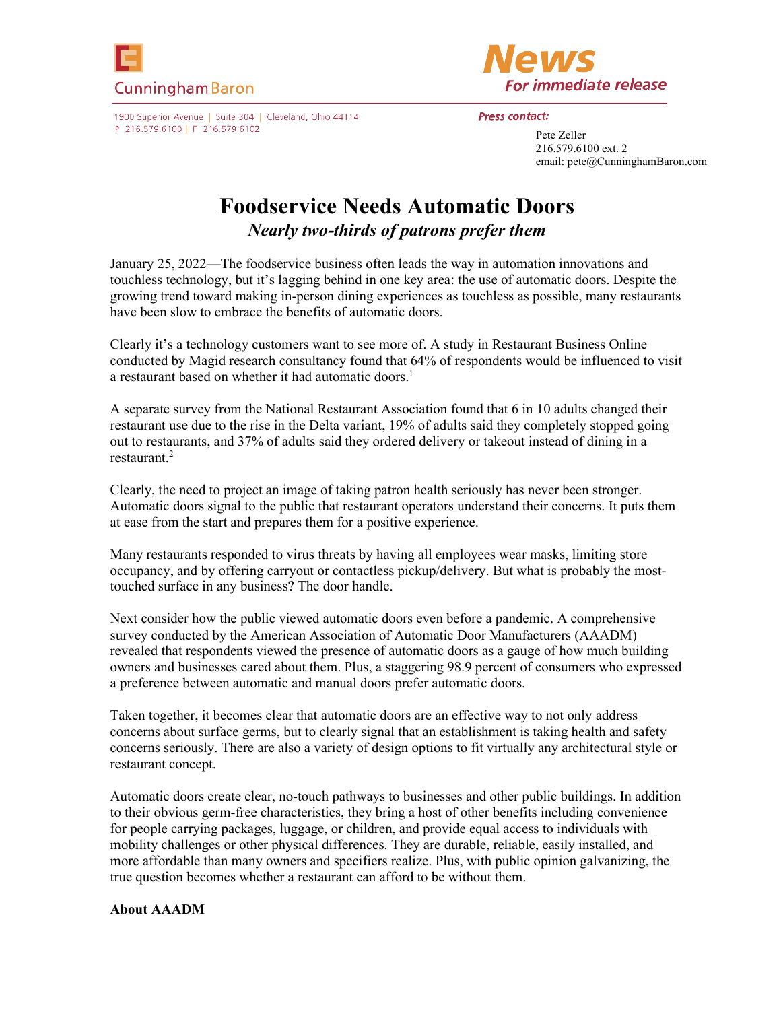



1900 Superior Avenue | Suite 304 | Cleveland, Ohio 44114 P 216.579.6100 | F 216.579.6102

## **Press contact:**

Pete Zeller 216.579.6100 ext. 2 email: pete@CunninghamBaron.com

## **Foodservice Needs Automatic Doors**  *Nearly two-thirds of patrons prefer them*

January 25, 2022—The foodservice business often leads the way in automation innovations and touchless technology, but it's lagging behind in one key area: the use of automatic doors. Despite the growing trend toward making in-person dining experiences as touchless as possible, many restaurants have been slow to embrace the benefits of automatic doors.

Clearly it's a technology customers want to see more of. A study in Restaurant Business Online conducted by Magid research consultancy found that 64% of respondents would be influenced to visit a restaurant based on whether it had automatic doors.<sup>1</sup>

A separate survey from the National Restaurant Association found that 6 in 10 adults changed their restaurant use due to the rise in the Delta variant, 19% of adults said they completely stopped going out to restaurants, and 37% of adults said they ordered delivery or takeout instead of dining in a restaurant.<sup>2</sup>

Clearly, the need to project an image of taking patron health seriously has never been stronger. Automatic doors signal to the public that restaurant operators understand their concerns. It puts them at ease from the start and prepares them for a positive experience.

Many restaurants responded to virus threats by having all employees wear masks, limiting store occupancy, and by offering carryout or contactless pickup/delivery. But what is probably the mosttouched surface in any business? The door handle.

Next consider how the public viewed automatic doors even before a pandemic. A comprehensive survey conducted by the American Association of Automatic Door Manufacturers (AAADM) revealed that respondents viewed the presence of automatic doors as a gauge of how much building owners and businesses cared about them. Plus, a staggering 98.9 percent of consumers who expressed a preference between automatic and manual doors prefer automatic doors.

Taken together, it becomes clear that automatic doors are an effective way to not only address concerns about surface germs, but to clearly signal that an establishment is taking health and safety concerns seriously. There are also a variety of design options to fit virtually any architectural style or restaurant concept.

Automatic doors create clear, no-touch pathways to businesses and other public buildings. In addition to their obvious germ-free characteristics, they bring a host of other benefits including convenience for people carrying packages, luggage, or children, and provide equal access to individuals with mobility challenges or other physical differences. They are durable, reliable, easily installed, and more affordable than many owners and specifiers realize. Plus, with public opinion galvanizing, the true question becomes whether a restaurant can afford to be without them.

## **About AAADM**